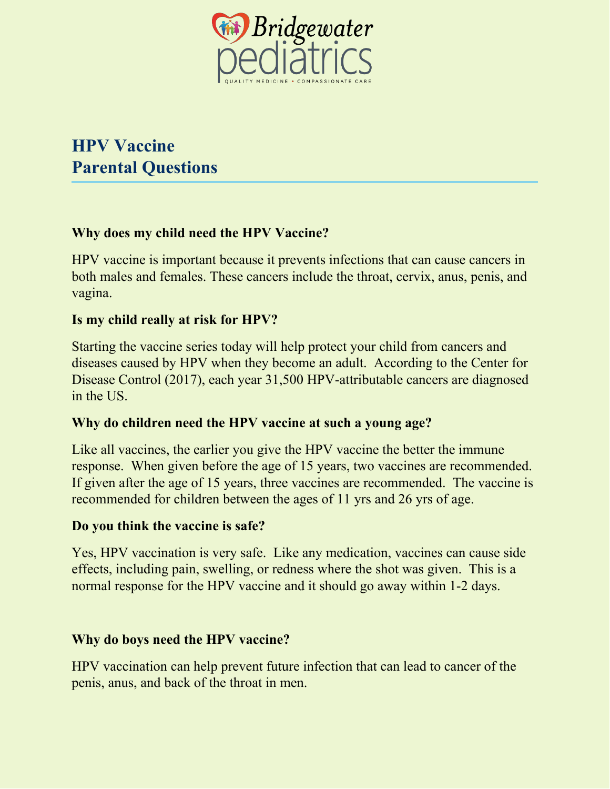

# **HPV Vaccine Parental Questions**

## **Why does my child need the HPV Vaccine?**

HPV vaccine is important because it prevents infections that can cause cancers in both males and females. These cancers include the throat, cervix, anus, penis, and vagina.

## **Is my child really at risk for HPV?**

Starting the vaccine series today will help protect your child from cancers and diseases caused by HPV when they become an adult. According to the Center for Disease Control (2017), each year 31,500 HPV-attributable cancers are diagnosed in the US.

#### **Why do children need the HPV vaccine at such a young age?**

Like all vaccines, the earlier you give the HPV vaccine the better the immune response. When given before the age of 15 years, two vaccines are recommended. If given after the age of 15 years, three vaccines are recommended. The vaccine is recommended for children between the ages of 11 yrs and 26 yrs of age.

#### **Do you think the vaccine is safe?**

Yes, HPV vaccination is very safe. Like any medication, vaccines can cause side effects, including pain, swelling, or redness where the shot was given. This is a normal response for the HPV vaccine and it should go away within 1-2 days.

#### **Why do boys need the HPV vaccine?**

HPV vaccination can help prevent future infection that can lead to cancer of the penis, anus, and back of the throat in men.